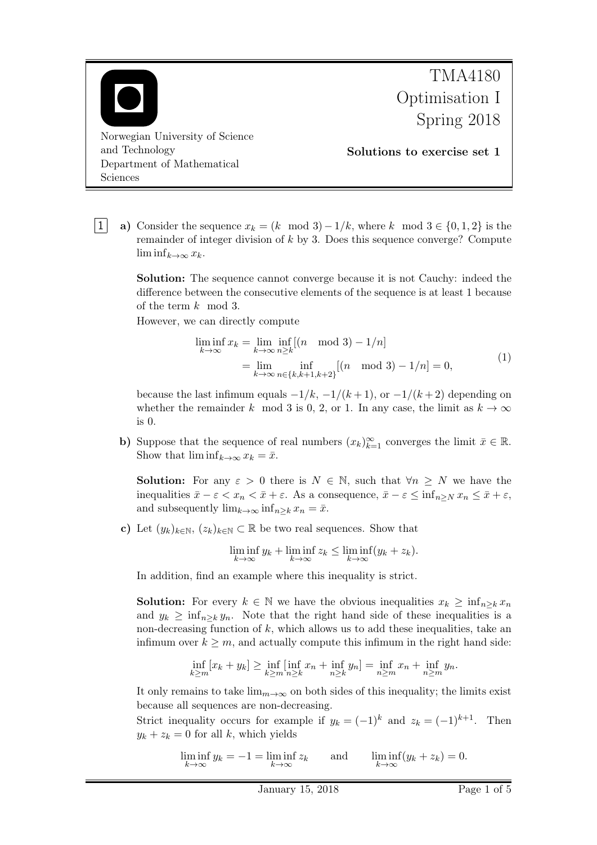

1 a) Consider the sequence  $x_k = (k \mod 3) - 1/k$ , where k mod  $3 \in \{0, 1, 2\}$  is the remainder of integer division of  $k$  by 3. Does this sequence converge? Compute  $\liminf_{k\to\infty}x_k$ .

Solution: The sequence cannot converge because it is not Cauchy: indeed the difference between the consecutive elements of the sequence is at least 1 because of the term k mod 3.

However, we can directly compute

$$
\liminf_{k \to \infty} x_k = \lim_{k \to \infty} \inf_{n \ge k} [(n \mod 3) - 1/n] \n= \lim_{k \to \infty} \inf_{n \in \{k, k+1, k+2\}} [(n \mod 3) - 1/n] = 0,
$$
\n(1)

because the last infimum equals  $-1/k$ ,  $-1/(k+1)$ , or  $-1/(k+2)$  depending on whether the remainder k mod 3 is 0, 2, or 1. In any case, the limit as  $k \to \infty$ is 0.

b) Suppose that the sequence of real numbers  $(x_k)_{k=1}^{\infty}$  converges the limit  $\bar{x} \in \mathbb{R}$ . Show that  $\liminf_{k\to\infty} x_k = \bar{x}$ .

**Solution:** For any  $\varepsilon > 0$  there is  $N \in \mathbb{N}$ , such that  $\forall n \geq N$  we have the inequalities  $\bar{x}-\varepsilon < x_n < \bar{x}+\varepsilon$ . As a consequence,  $\bar{x}-\varepsilon \leq \inf_{n\geq N} x_n \leq \bar{x}+\varepsilon$ , and subsequently  $\lim_{k\to\infty} \inf_{n\geq k} x_n = \bar{x}$ .

c) Let  $(y_k)_{k \in \mathbb{N}}$ ,  $(z_k)_{k \in \mathbb{N}} \subset \mathbb{R}$  be two real sequences. Show that

$$
\liminf_{k \to \infty} y_k + \liminf_{k \to \infty} z_k \le \liminf_{k \to \infty} (y_k + z_k).
$$

In addition, find an example where this inequality is strict.

**Solution:** For every  $k \in \mathbb{N}$  we have the obvious inequalities  $x_k \ge \inf_{n \ge k} x_n$ and  $y_k \ge \inf_{n \ge k} y_n$ . Note that the right hand side of these inequalities is a non-decreasing function of  $k$ , which allows us to add these inequalities, take an infimum over  $k \geq m$ , and actually compute this infimum in the right hand side:

$$
\inf_{k \ge m} [x_k + y_k] \ge \inf_{k \ge m} [\inf_{n \ge k} x_n + \inf_{n \ge k} y_n] = \inf_{n \ge m} x_n + \inf_{n \ge m} y_n.
$$

It only remains to take  $\lim_{m\to\infty}$  on both sides of this inequality; the limits exist because all sequences are non-decreasing.

Strict inequality occurs for example if  $y_k = (-1)^k$  and  $z_k = (-1)^{k+1}$ . Then  $y_k + z_k = 0$  for all k, which yields

$$
\liminf_{k \to \infty} y_k = -1 = \liminf_{k \to \infty} z_k \quad \text{and} \quad \liminf_{k \to \infty} (y_k + z_k) = 0.
$$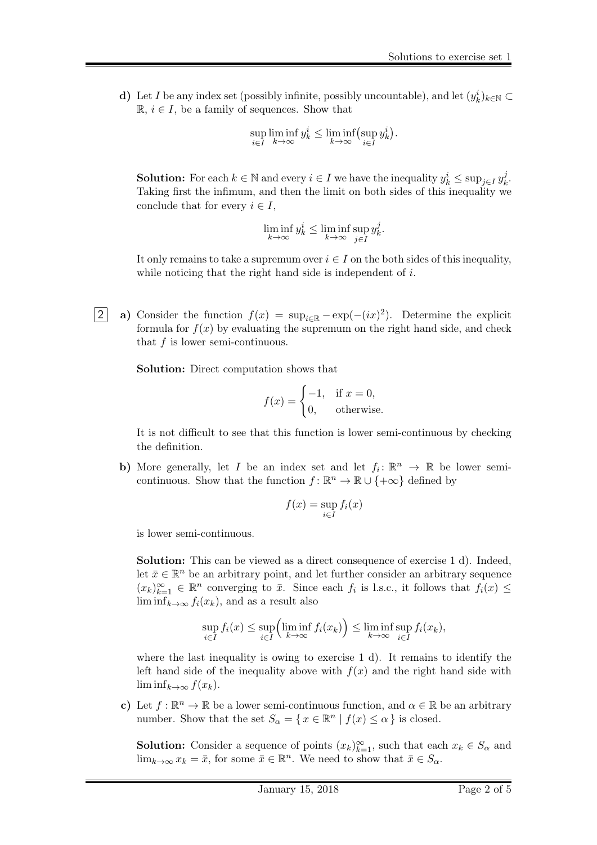d) Let I be any index set (possibly infinite, possibly uncountable), and let  $(y_k^i)_{k \in \mathbb{N}} \subset$  $\mathbb{R}, i \in I$ , be a family of sequences. Show that

$$
\sup_{i \in I} \liminf_{k \to \infty} y_k^i \le \liminf_{k \to \infty} (\sup_{i \in I} y_k^i).
$$

**Solution:** For each  $k \in \mathbb{N}$  and every  $i \in I$  we have the inequality  $y_k^i \leq \sup_{j \in I} y_k^j$  $r_k^j$  . Taking first the infimum, and then the limit on both sides of this inequality we conclude that for every  $i \in I$ ,

$$
\liminf_{k \to \infty} y_k^i \le \liminf_{k \to \infty} \sup_{j \in I} y_k^j.
$$

It only remains to take a supremum over  $i \in I$  on the both sides of this inequality, while noticing that the right hand side is independent of  $i$ .

2 a) Consider the function  $f(x) = \sup_{i \in \mathbb{R}} -\exp(-(ix)^2)$ . Determine the explicit formula for  $f(x)$  by evaluating the supremum on the right hand side, and check that  $f$  is lower semi-continuous.

Solution: Direct computation shows that

$$
f(x) = \begin{cases} -1, & \text{if } x = 0, \\ 0, & \text{otherwise.} \end{cases}
$$

It is not difficult to see that this function is lower semi-continuous by checking the definition.

b) More generally, let I be an index set and let  $f_i: \mathbb{R}^n \to \mathbb{R}$  be lower semicontinuous. Show that the function  $f: \mathbb{R}^n \to \mathbb{R} \cup \{+\infty\}$  defined by

$$
f(x) = \sup_{i \in I} f_i(x)
$$

is lower semi-continuous.

Solution: This can be viewed as a direct consequence of exercise 1 d). Indeed, let  $\bar{x} \in \mathbb{R}^n$  be an arbitrary point, and let further consider an arbitrary sequence  $(x_k)_{k=1}^{\infty} \in \mathbb{R}^n$  converging to  $\bar{x}$ . Since each  $f_i$  is l.s.c., it follows that  $f_i(x) \leq$  $\liminf_{k\to\infty} f_i(x_k)$ , and as a result also

$$
\sup_{i \in I} f_i(x) \le \sup_{i \in I} \left( \liminf_{k \to \infty} f_i(x_k) \right) \le \liminf_{k \to \infty} \sup_{i \in I} f_i(x_k),
$$

where the last inequality is owing to exercise 1 d). It remains to identify the left hand side of the inequality above with  $f(x)$  and the right hand side with  $\liminf_{k\to\infty} f(x_k)$ .

c) Let  $f : \mathbb{R}^n \to \mathbb{R}$  be a lower semi-continuous function, and  $\alpha \in \mathbb{R}$  be an arbitrary number. Show that the set  $S_{\alpha} = \{ x \in \mathbb{R}^n \mid f(x) \leq \alpha \}$  is closed.

**Solution:** Consider a sequence of points  $(x_k)_{k=1}^{\infty}$ , such that each  $x_k \in S_\alpha$  and  $\lim_{k\to\infty} x_k = \bar{x}$ , for some  $\bar{x} \in \mathbb{R}^n$ . We need to show that  $\bar{x} \in S_\alpha$ .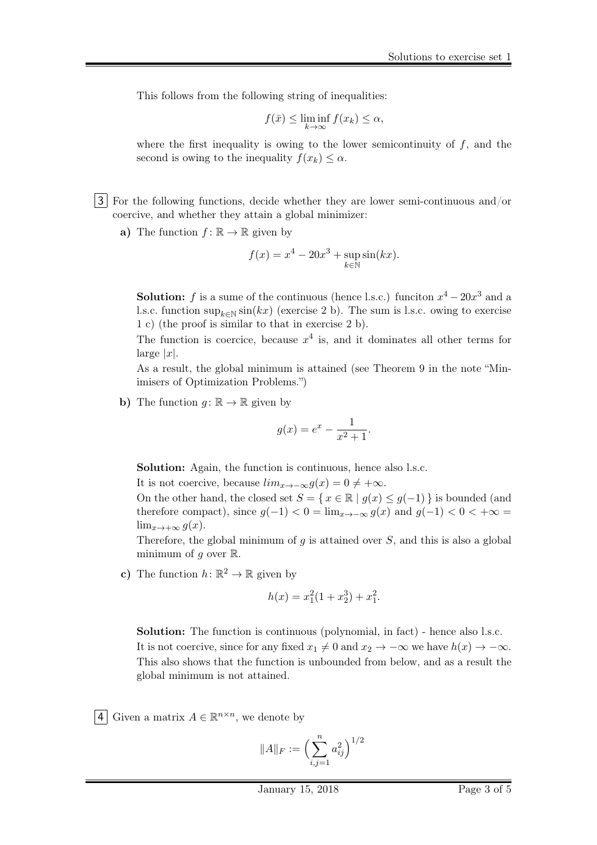This follows from the following string of inequalities:

$$
f(\bar{x}) \le \liminf_{k \to \infty} f(x_k) \le \alpha,
$$

where the first inequality is owing to the lower semicontinuity of  $f$ , and the second is owing to the inequality  $f(x_k) \leq \alpha$ .

- 3 For the following functions, decide whether they are lower semi-continuous and/or coercive, and whether they attain a global minimizer:
	- a) The function  $f: \mathbb{R} \to \mathbb{R}$  given by

$$
f(x) = x^4 - 20x^3 + \sup_{k \in \mathbb{N}} \sin(kx).
$$

**Solution:** f is a sume of the continuous (hence l.s.c.) funciton  $x^4 - 20x^3$  and a l.s.c. function  $\sup_{k \in \mathbb{N}} \sin(kx)$  (exercise 2 b). The sum is l.s.c. owing to exercise 1 c) (the proof is similar to that in exercise 2 b).

The function is coercice, because  $x^4$  is, and it dominates all other terms for  $\lvert \text{large} \rvert x \rvert$ .

As a result, the global minimum is attained (see Theorem 9 in the note "Minimisers of Optimization Problems.")

b) The function  $q: \mathbb{R} \to \mathbb{R}$  given by

$$
g(x) = e^x - \frac{1}{x^2 + 1}.
$$

Solution: Again, the function is continuous, hence also l.s.c.

It is not coercive, because  $\lim_{x\to-\infty} g(x) = 0 \neq +\infty$ .

On the other hand, the closed set  $S = \{ x \in \mathbb{R} \mid g(x) \leq g(-1) \}$  is bounded (and therefore compact), since  $g(-1) < 0 = \lim_{x \to -\infty} g(x)$  and  $g(-1) < 0 < +\infty$  $\lim_{x\to+\infty} g(x)$ .

Therefore, the global minimum of  $g$  is attained over  $S$ , and this is also a global minimum of  $q$  over  $\mathbb{R}$ .

c) The function  $h: \mathbb{R}^2 \to \mathbb{R}$  given by

$$
h(x) = x_1^2(1 + x_2^3) + x_1^2.
$$

Solution: The function is continuous (polynomial, in fact) - hence also l.s.c. It is not coercive, since for any fixed  $x_1 \neq 0$  and  $x_2 \to -\infty$  we have  $h(x) \to -\infty$ . This also shows that the function is unbounded from below, and as a result the global minimum is not attained.

4 Given a matrix  $A \in \mathbb{R}^{n \times n}$ , we denote by

$$
||A||_F := \Bigl(\sum_{i,j=1}^n a_{ij}^2\Bigr)^{1/2}
$$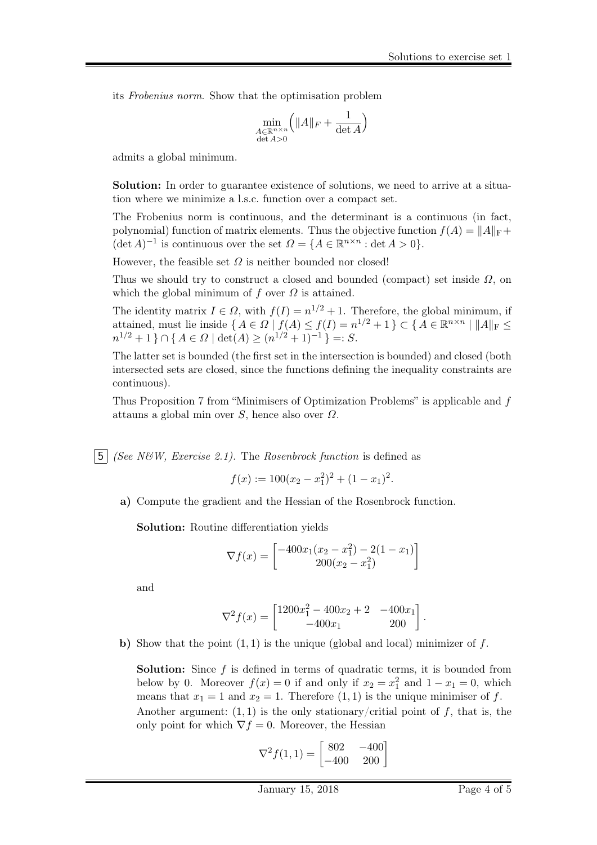its Frobenius norm. Show that the optimisation problem

$$
\min_{\substack{A \in \mathbb{R}^{n \times n} \\ \det A > 0}} \Bigl( \| A \|_F + \frac{1}{\det A} \Bigr)
$$

admits a global minimum.

Solution: In order to guarantee existence of solutions, we need to arrive at a situation where we minimize a l.s.c. function over a compact set.

The Frobenius norm is continuous, and the determinant is a continuous (in fact, polynomial) function of matrix elements. Thus the objective function  $f(A) = ||A||_F +$  $(\det A)^{-1}$  is continuous over the set  $\Omega = \{A \in \mathbb{R}^{n \times n} : \det A > 0\}.$ 

However, the feasible set  $\Omega$  is neither bounded nor closed!

Thus we should try to construct a closed and bounded (compact) set inside  $\Omega$ , on which the global minimum of f over  $\Omega$  is attained.

The identity matrix  $I \in \Omega$ , with  $f(I) = n^{1/2} + 1$ . Therefore, the global minimum, if attained, must lie inside  $\{A \in \Omega \mid f(A) \leq f(I) = n^{1/2} + 1\} \subset \{A \in \mathbb{R}^{n \times n} \mid ||A||_{\text{F}} \leq$  $n^{1/2} + 1$  }  $\cap$  {  $A \in \Omega$  | det( $A$ )  $\geq (n^{1/2} + 1)^{-1}$  } =: S.

The latter set is bounded (the first set in the intersection is bounded) and closed (both intersected sets are closed, since the functions defining the inequality constraints are continuous).

Thus Proposition 7 from "Minimisers of Optimization Problems" is applicable and f attauns a global min over  $S$ , hence also over  $\Omega$ .

5 (See N&W, Exercise 2.1). The Rosenbrock function is defined as

$$
f(x) := 100(x_2 - x_1^2)^2 + (1 - x_1)^2.
$$

a) Compute the gradient and the Hessian of the Rosenbrock function.

Solution: Routine differentiation yields

$$
\nabla f(x) = \begin{bmatrix} -400x_1(x_2 - x_1^2) - 2(1 - x_1) \\ 200(x_2 - x_1^2) \end{bmatrix}
$$

and

$$
\nabla^2 f(x) = \begin{bmatrix} 1200x_1^2 - 400x_2 + 2 & -400x_1 \\ -400x_1 & 200 \end{bmatrix}.
$$

b) Show that the point  $(1, 1)$  is the unique (global and local) minimizer of f.

**Solution:** Since  $f$  is defined in terms of quadratic terms, it is bounded from below by 0. Moreover  $f(x) = 0$  if and only if  $x_2 = x_1^2$  and  $1 - x_1 = 0$ , which means that  $x_1 = 1$  and  $x_2 = 1$ . Therefore  $(1, 1)$  is the unique minimiser of f. Another argument:  $(1, 1)$  is the only stationary/critial point of f, that is, the only point for which  $\nabla f = 0$ . Moreover, the Hessian

$$
\nabla^2 f(1,1) = \begin{bmatrix} 802 & -400 \\ -400 & 200 \end{bmatrix}
$$